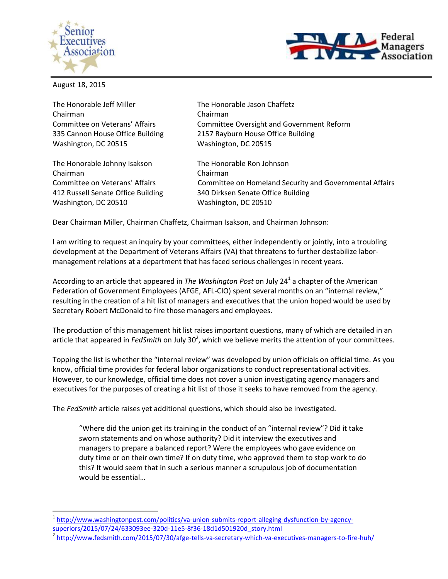



August 18, 2015

 $\overline{a}$ 

The Honorable Jeff Miller The Honorable Jason Chaffetz Chairman Chairman Washington, DC 20515 Washington, DC 20515

The Honorable Johnny Isakson The Honorable Ron Johnson Chairman Chairman Washington, DC 20510 Washington, DC 20510

Committee on Veterans' Affairs Committee Oversight and Government Reform 335 Cannon House Office Building 2157 Rayburn House Office Building

Committee on Veterans' Affairs Committee on Homeland Security and Governmental Affairs 412 Russell Senate Office Building 340 Dirksen Senate Office Building

Dear Chairman Miller, Chairman Chaffetz, Chairman Isakson, and Chairman Johnson:

I am writing to request an inquiry by your committees, either independently or jointly, into a troubling development at the Department of Veterans Affairs (VA) that threatens to further destabilize labormanagement relations at a department that has faced serious challenges in recent years.

According to an article that appeared in *The Washington Post* on July 24<sup>1</sup> a chapter of the American Federation of Government Employees (AFGE, AFL-CIO) spent several months on an "internal review," resulting in the creation of a hit list of managers and executives that the union hoped would be used by Secretary Robert McDonald to fire those managers and employees.

The production of this management hit list raises important questions, many of which are detailed in an article that appeared in *FedSmith* on July 30<sup>2</sup>, which we believe merits the attention of your committees.

Topping the list is whether the "internal review" was developed by union officials on official time. As you know, official time provides for federal labor organizations to conduct representational activities. However, to our knowledge, official time does not cover a union investigating agency managers and executives for the purposes of creating a hit list of those it seeks to have removed from the agency.

The *FedSmith* article raises yet additional questions, which should also be investigated.

"Where did the union get its training in the conduct of an "internal review"? Did it take sworn statements and on whose authority? Did it interview the executives and managers to prepare a balanced report? Were the employees who gave evidence on duty time or on their own time? If on duty time, who approved them to stop work to do this? It would seem that in such a serious manner a scrupulous job of documentation would be essential…

<sup>&</sup>lt;sup>1</sup> [http://www.washingtonpost.com/politics/va-union-submits-report-alleging-dysfunction-by-agency](http://www.washingtonpost.com/politics/va-union-submits-report-alleging-dysfunction-by-agency-superiors/2015/07/24/633093ee-320d-11e5-8f36-18d1d501920d_story.html)[superiors/2015/07/24/633093ee-320d-11e5-8f36-18d1d501920d\\_story.html](http://www.washingtonpost.com/politics/va-union-submits-report-alleging-dysfunction-by-agency-superiors/2015/07/24/633093ee-320d-11e5-8f36-18d1d501920d_story.html) 2

<http://www.fedsmith.com/2015/07/30/afge-tells-va-secretary-which-va-executives-managers-to-fire-huh/>